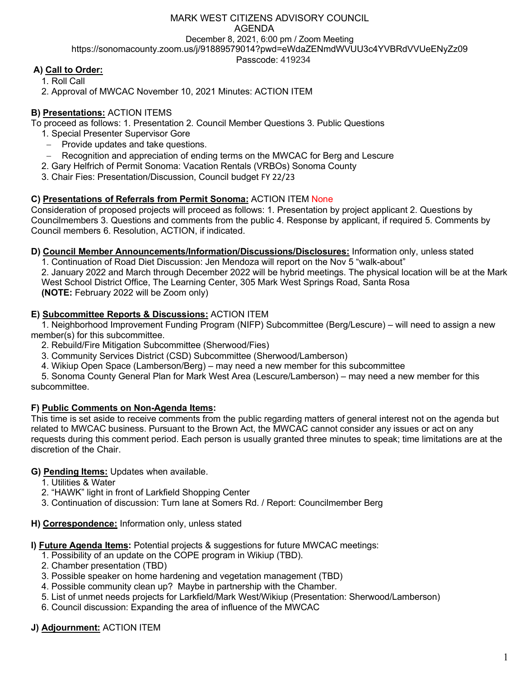# MARK WEST CITIZENS ADVISORY COUNCIL AGENDA December 8, 2021, 6:00 pm / Zoom Meeting https://sonomacounty.zoom.us/j/91889579014?pwd=eWdaZENmdWVUU3c4YVBRdVVUeENyZz09 Passcode: 419234

# **A) Call to Order:**

1. Roll Call

2. Approval of MWCAC November 10, 2021 Minutes: ACTION ITEM

# **B) Presentations:** ACTION ITEMS

To proceed as follows: 1. Presentation 2. Council Member Questions 3. Public Questions

- 1. Special Presenter Supervisor Gore
	- Provide updates and take questions.
- Recognition and appreciation of ending terms on the MWCAC for Berg and Lescure
- 2. Gary Helfrich of Permit Sonoma: Vacation Rentals (VRBOs) Sonoma County
- 3. Chair Fies: Presentation/Discussion, Council budget FY 22/23

## **C) Presentations of Referrals from Permit Sonoma:** ACTION ITEM None

Consideration of proposed projects will proceed as follows: 1. Presentation by project applicant 2. Questions by Councilmembers 3. Questions and comments from the public 4. Response by applicant, if required 5. Comments by Council members 6. Resolution, ACTION, if indicated.

## **D) Council Member Announcements/Information/Discussions/Disclosures:** Information only, unless stated

1. Continuation of Road Diet Discussion: Jen Mendoza will report on the Nov 5 "walk-about" 2. January 2022 and March through December 2022 will be hybrid meetings. The physical location will be at the Mark West School District Office, The Learning Center, 305 Mark West Springs Road, Santa Rosa **(NOTE:** February 2022 will be Zoom only)

## **E) Subcommittee Reports & Discussions:** ACTION ITEM

1. Neighborhood Improvement Funding Program (NIFP) Subcommittee (Berg/Lescure) – will need to assign a new member(s) for this subcommittee.

- 2. Rebuild/Fire Mitigation Subcommittee (Sherwood/Fies)
- 3. Community Services District (CSD) Subcommittee (Sherwood/Lamberson)
- 4. Wikiup Open Space (Lamberson/Berg) may need a new member for this subcommittee

5. Sonoma County General Plan for Mark West Area (Lescure/Lamberson) – may need a new member for this subcommittee.

# **F) Public Comments on Non-Agenda Items:**

This time is set aside to receive comments from the public regarding matters of general interest not on the agenda but related to MWCAC business. Pursuant to the Brown Act, the MWCAC cannot consider any issues or act on any requests during this comment period. Each person is usually granted three minutes to speak; time limitations are at the discretion of the Chair.

#### **G) Pending Items:** Updates when available.

- 1. Utilities & Water
- 2. "HAWK" light in front of Larkfield Shopping Center
- 3. Continuation of discussion: Turn lane at Somers Rd. / Report: Councilmember Berg

#### **H) Correspondence:** Information only, unless stated

**I) Future Agenda Items:** Potential projects & suggestions for future MWCAC meetings:

- 1. Possibility of an update on the COPE program in Wikiup (TBD).
- 2. Chamber presentation (TBD)
- 3. Possible speaker on home hardening and vegetation management (TBD)
- 4. Possible community clean up? Maybe in partnership with the Chamber.
- 5. List of unmet needs projects for Larkfield/Mark West/Wikiup (Presentation: Sherwood/Lamberson)
- 6. Council discussion: Expanding the area of influence of the MWCAC

# **J) Adjournment:** ACTION ITEM